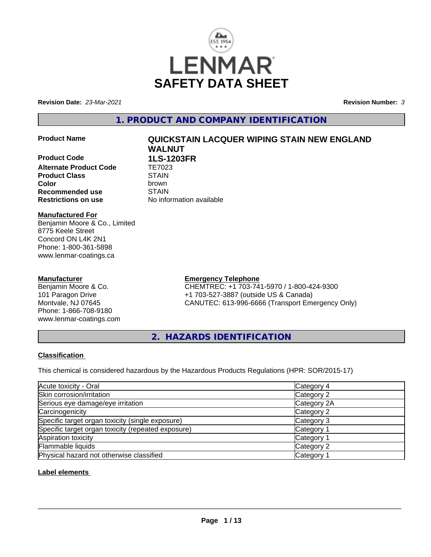

**Revision Date:** *23-Mar-2021* **Revision Number:** *3*

### **1. PRODUCT AND COMPANY IDENTIFICATION**

**Product Code 1LS-1203FR Alternate Product Code** TE7023 **Product Class STAIN Recommended use** STAIN **Restrictions on use** No information available

# **Product Name QUICKSTAIN LACQUER WIPING STAIN NEW ENGLAND WALNUT Color** brown

#### **Manufactured For**

Benjamin Moore & Co., Limited 8775 Keele Street Concord ON L4K 2N1 Phone: 1-800-361-5898 www.lenmar-coatings.ca

#### **Manufacturer**

Benjamin Moore & Co. 101 Paragon Drive Montvale, NJ 07645 Phone: 1-866-708-9180 www.lenmar-coatings.com

#### **Emergency Telephone**

CHEMTREC: +1 703-741-5970 / 1-800-424-9300 +1 703-527-3887 (outside US & Canada) CANUTEC: 613-996-6666 (Transport Emergency Only)

**2. HAZARDS IDENTIFICATION**

#### **Classification**

This chemical is considered hazardous by the Hazardous Products Regulations (HPR: SOR/2015-17)

| Acute toxicity - Oral                              | Category 4            |
|----------------------------------------------------|-----------------------|
| Skin corrosion/irritation                          | Category 2            |
| Serious eye damage/eye irritation                  | Category 2A           |
| Carcinogenicity                                    | Category 2            |
| Specific target organ toxicity (single exposure)   | Category 3            |
| Specific target organ toxicity (repeated exposure) | Category 1            |
| Aspiration toxicity                                | Category <sup>2</sup> |
| Flammable liquids                                  | Category 2            |
| Physical hazard not otherwise classified           | Category <sup>-</sup> |

#### **Label elements**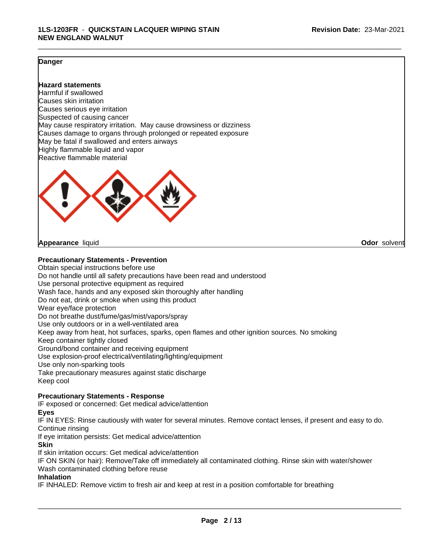#### **Danger**

#### **Hazard statements**

Harmful if swallowed Causes skin irritation Causes serious eye irritation Suspected of causing cancer May cause respiratory irritation. May cause drowsiness or dizziness Causes damage to organs through prolonged or repeated exposure May be fatal if swallowed and enters airways Highly flammable liquid and vapor Reactive flammable material



#### **Appearance** liquid **Odor** solvent

**Precautionary Statements - Prevention**

Obtain special instructions before use Do not handle until all safety precautions have been read and understood Use personal protective equipment as required Wash face, hands and any exposed skin thoroughly after handling Do not eat, drink or smoke when using this product Wear eye/face protection Do not breathe dust/fume/gas/mist/vapors/spray Use only outdoors or in a well-ventilated area Keep away from heat, hot surfaces, sparks, open flames and other ignition sources. No smoking Keep container tightly closed Ground/bond container and receiving equipment Use explosion-proof electrical/ventilating/lighting/equipment Use only non-sparking tools Take precautionary measures against static discharge Keep cool **Precautionary Statements - Response**

IF exposed or concerned: Get medical advice/attention

**Eyes**

IF IN EYES: Rinse cautiously with water for several minutes. Remove contact lenses, if present and easy to do. Continue rinsing

If eye irritation persists: Get medical advice/attention

**Skin**

If skin irritation occurs: Get medical advice/attention

IF ON SKIN (or hair): Remove/Take off immediately all contaminated clothing. Rinse skin with water/shower Wash contaminated clothing before reuse

#### **Inhalation**

IF INHALED: Remove victim to fresh air and keep at rest in a position comfortable for breathing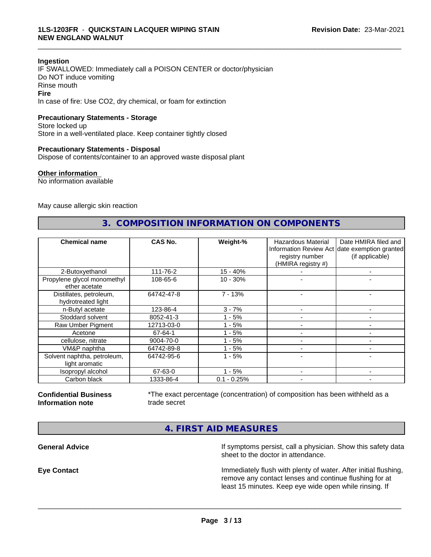#### **Ingestion**

IF SWALLOWED: Immediately call a POISON CENTER or doctor/physician Do NOT induce vomiting Rinse mouth **Fire** In case of fire: Use CO2, dry chemical, or foam for extinction

#### **Precautionary Statements - Storage**

Store locked up Store in a well-ventilated place. Keep container tightly closed

#### **Precautionary Statements - Disposal**

Dispose of contents/container to an approved waste disposal plant

#### **Other information**

No information available

May cause allergic skin reaction

### **3. COMPOSITION INFORMATION ON COMPONENTS**

\_\_\_\_\_\_\_\_\_\_\_\_\_\_\_\_\_\_\_\_\_\_\_\_\_\_\_\_\_\_\_\_\_\_\_\_\_\_\_\_\_\_\_\_\_\_\_\_\_\_\_\_\_\_\_\_\_\_\_\_\_\_\_\_\_\_\_\_\_\_\_\_\_\_\_\_\_\_\_\_\_\_\_\_\_\_\_\_\_\_\_\_\_

| <b>Chemical name</b>                          | CAS No.    | Weight-%      | <b>Hazardous Material</b><br>registry number<br>(HMIRA registry #) | Date HMIRA filed and<br>Information Review Act date exemption granted<br>(if applicable) |
|-----------------------------------------------|------------|---------------|--------------------------------------------------------------------|------------------------------------------------------------------------------------------|
| 2-Butoxyethanol                               | 111-76-2   | $15 - 40%$    |                                                                    |                                                                                          |
| Propylene glycol monomethyl<br>ether acetate  | 108-65-6   | $10 - 30%$    |                                                                    |                                                                                          |
| Distillates, petroleum,<br>hydrotreated light | 64742-47-8 | $7 - 13%$     |                                                                    |                                                                                          |
| n-Butyl acetate                               | 123-86-4   | $3 - 7%$      |                                                                    |                                                                                          |
| Stoddard solvent                              | 8052-41-3  | $1 - 5%$      |                                                                    |                                                                                          |
| Raw Umber Pigment                             | 12713-03-0 | $1 - 5%$      |                                                                    |                                                                                          |
| Acetone                                       | 67-64-1    | $1 - 5%$      |                                                                    |                                                                                          |
| cellulose, nitrate                            | 9004-70-0  | $1 - 5%$      |                                                                    | -                                                                                        |
| VM&P naphtha                                  | 64742-89-8 | 1 - 5%        |                                                                    | -                                                                                        |
| Solvent naphtha, petroleum,<br>light aromatic | 64742-95-6 | $1 - 5%$      |                                                                    | -                                                                                        |
| Isopropyl alcohol                             | 67-63-0    | $1 - 5%$      |                                                                    |                                                                                          |
| Carbon black                                  | 1333-86-4  | $0.1 - 0.25%$ |                                                                    |                                                                                          |

#### **Confidential Business Information note**

\*The exact percentage (concentration) of composition has been withheld as a trade secret

 $\overline{\phantom{a}}$  ,  $\overline{\phantom{a}}$  ,  $\overline{\phantom{a}}$  ,  $\overline{\phantom{a}}$  ,  $\overline{\phantom{a}}$  ,  $\overline{\phantom{a}}$  ,  $\overline{\phantom{a}}$  ,  $\overline{\phantom{a}}$  ,  $\overline{\phantom{a}}$  ,  $\overline{\phantom{a}}$  ,  $\overline{\phantom{a}}$  ,  $\overline{\phantom{a}}$  ,  $\overline{\phantom{a}}$  ,  $\overline{\phantom{a}}$  ,  $\overline{\phantom{a}}$  ,  $\overline{\phantom{a}}$ 

**4. FIRST AID MEASURES**

**General Advice If symptoms persist, call a physician. Show this safety data If** symptoms persist, call a physician. Show this safety data sheet to the doctor in attendance.

**Eye Contact Immediately flush with plenty of water. After initial flushing,** remove any contact lenses and continue flushing for at least 15 minutes. Keep eye wide open while rinsing. If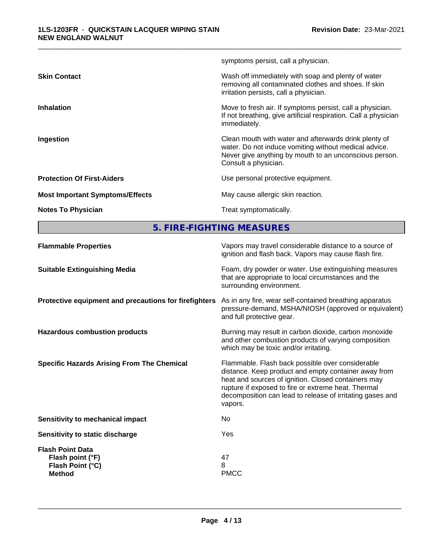|                                        | symptoms persist, call a physician.                                                                                                                                                              |
|----------------------------------------|--------------------------------------------------------------------------------------------------------------------------------------------------------------------------------------------------|
| <b>Skin Contact</b>                    | Wash off immediately with soap and plenty of water<br>removing all contaminated clothes and shoes. If skin<br>irritation persists, call a physician.                                             |
| <b>Inhalation</b>                      | Move to fresh air. If symptoms persist, call a physician.<br>If not breathing, give artificial respiration. Call a physician<br>immediately.                                                     |
| Ingestion                              | Clean mouth with water and afterwards drink plenty of<br>water. Do not induce vomiting without medical advice.<br>Never give anything by mouth to an unconscious person.<br>Consult a physician. |
| <b>Protection Of First-Aiders</b>      | Use personal protective equipment.                                                                                                                                                               |
| <b>Most Important Symptoms/Effects</b> | May cause allergic skin reaction.                                                                                                                                                                |
| <b>Notes To Physician</b>              | Treat symptomatically.                                                                                                                                                                           |
|                                        |                                                                                                                                                                                                  |

**5. FIRE-FIGHTING MEASURES**

| ignition and flash back. Vapors may cause flash fire.                                                                                                                                                                                                                                                                                               |  |
|-----------------------------------------------------------------------------------------------------------------------------------------------------------------------------------------------------------------------------------------------------------------------------------------------------------------------------------------------------|--|
| Foam, dry powder or water. Use extinguishing measures<br><b>Suitable Extinguishing Media</b><br>that are appropriate to local circumstances and the<br>surrounding environment.                                                                                                                                                                     |  |
| As in any fire, wear self-contained breathing apparatus<br>Protective equipment and precautions for firefighters<br>pressure-demand, MSHA/NIOSH (approved or equivalent)<br>and full protective gear.                                                                                                                                               |  |
| Burning may result in carbon dioxide, carbon monoxide<br><b>Hazardous combustion products</b><br>and other combustion products of varying composition<br>which may be toxic and/or irritating.                                                                                                                                                      |  |
| <b>Specific Hazards Arising From The Chemical</b><br>Flammable. Flash back possible over considerable<br>distance. Keep product and empty container away from<br>heat and sources of ignition. Closed containers may<br>rupture if exposed to fire or extreme heat. Thermal<br>decomposition can lead to release of irritating gases and<br>vapors. |  |
| Sensitivity to mechanical impact<br>No.                                                                                                                                                                                                                                                                                                             |  |
| Yes<br>Sensitivity to static discharge                                                                                                                                                                                                                                                                                                              |  |
| <b>Flash Point Data</b><br>47<br>Flash point (°F)<br>8<br>Flash Point (°C)<br><b>PMCC</b><br><b>Method</b>                                                                                                                                                                                                                                          |  |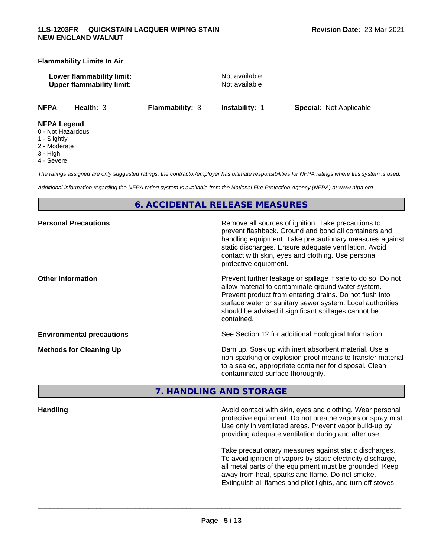#### **Flammability Limits In Air**

**Lower flammability limit:** Not available **Upper flammability limit:** Not available

\_\_\_\_\_\_\_\_\_\_\_\_\_\_\_\_\_\_\_\_\_\_\_\_\_\_\_\_\_\_\_\_\_\_\_\_\_\_\_\_\_\_\_\_\_\_\_\_\_\_\_\_\_\_\_\_\_\_\_\_\_\_\_\_\_\_\_\_\_\_\_\_\_\_\_\_\_\_\_\_\_\_\_\_\_\_\_\_\_\_\_\_\_

**NFPA Health:** 3 **Flammability:** 3 **Instability:** 1 **Special:** Not Applicable

#### **NFPA Legend**

- 0 Not Hazardous
- 1 Slightly
- 2 Moderate
- 3 High
- 4 Severe

*The ratings assigned are only suggested ratings, the contractor/employer has ultimate responsibilities for NFPA ratings where this system is used.*

*Additional information regarding the NFPA rating system is available from the National Fire Protection Agency (NFPA) at www.nfpa.org.*

### **6. ACCIDENTAL RELEASE MEASURES**

| <b>Personal Precautions</b>      | Remove all sources of ignition. Take precautions to<br>prevent flashback. Ground and bond all containers and<br>handling equipment. Take precautionary measures against<br>static discharges. Ensure adequate ventilation. Avoid<br>contact with skin, eyes and clothing. Use personal<br>protective equipment.  |
|----------------------------------|------------------------------------------------------------------------------------------------------------------------------------------------------------------------------------------------------------------------------------------------------------------------------------------------------------------|
| <b>Other Information</b>         | Prevent further leakage or spillage if safe to do so. Do not<br>allow material to contaminate ground water system.<br>Prevent product from entering drains. Do not flush into<br>surface water or sanitary sewer system. Local authorities<br>should be advised if significant spillages cannot be<br>contained. |
| <b>Environmental precautions</b> | See Section 12 for additional Ecological Information.                                                                                                                                                                                                                                                            |
| <b>Methods for Cleaning Up</b>   | Dam up. Soak up with inert absorbent material. Use a<br>non-sparking or explosion proof means to transfer material<br>to a sealed, appropriate container for disposal. Clean<br>contaminated surface thoroughly.                                                                                                 |

#### **7. HANDLING AND STORAGE**

**Handling Handling Avoid contact with skin, eyes and clothing. Wear personal and <b>Handling Avoid contact with skin, eyes and clothing. Wear personal** protective equipment. Do not breathe vapors or spray mist. Use only in ventilated areas. Prevent vapor build-up by providing adequate ventilation during and after use.

> Take precautionary measures against static discharges. To avoid ignition of vapors by static electricity discharge, all metal parts of the equipment must be grounded. Keep away from heat, sparks and flame. Do not smoke. Extinguish all flames and pilot lights, and turn off stoves,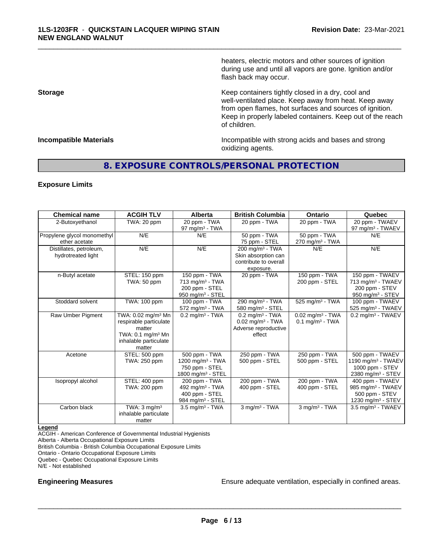heaters, electric motors and other sources of ignition during use and until all vapors are gone. Ignition and/or flash back may occur.

\_\_\_\_\_\_\_\_\_\_\_\_\_\_\_\_\_\_\_\_\_\_\_\_\_\_\_\_\_\_\_\_\_\_\_\_\_\_\_\_\_\_\_\_\_\_\_\_\_\_\_\_\_\_\_\_\_\_\_\_\_\_\_\_\_\_\_\_\_\_\_\_\_\_\_\_\_\_\_\_\_\_\_\_\_\_\_\_\_\_\_\_\_

**Storage Keep containers tightly closed in a dry, cool and get a dry and structure in a dry and structure in a dry and structure in a dry and structure in a dry and structure in a dry and structure in a dry and structure** well-ventilated place. Keep away from heat. Keep away from open flames, hot surfaces and sources of ignition. Keep in properly labeled containers. Keep out of the reach of children.

**Incompatible Materials Incompatible with strong acids and bases and strong** oxidizing agents.

#### **8. EXPOSURE CONTROLS/PERSONAL PROTECTION**

#### **Exposure Limits**

| <b>Chemical name</b>                          | <b>ACGIH TLV</b>                                                                                                                       | <b>Alberta</b>                                                                                   | <b>British Columbia</b>                                                                           | Ontario                                                         | Quebec                                                                                                |
|-----------------------------------------------|----------------------------------------------------------------------------------------------------------------------------------------|--------------------------------------------------------------------------------------------------|---------------------------------------------------------------------------------------------------|-----------------------------------------------------------------|-------------------------------------------------------------------------------------------------------|
| 2-Butoxyethanol                               | TWA: 20 ppm                                                                                                                            | 20 ppm - TWA<br>$97 \text{ mg/m}^3$ - TWA                                                        | 20 ppm - TWA                                                                                      | 20 ppm - TWA                                                    | 20 ppm - TWAEV<br>97 mg/m <sup>3</sup> - TWAEV                                                        |
| Propylene glycol monomethyl<br>ether acetate  | N/E                                                                                                                                    | N/E                                                                                              | 50 ppm - TWA<br>75 ppm - STEL                                                                     | 50 ppm - TWA<br>$270$ mg/m <sup>3</sup> - TWA                   | N/E                                                                                                   |
| Distillates, petroleum,<br>hydrotreated light | N/E                                                                                                                                    | N/E                                                                                              | 200 mg/m <sup>3</sup> - TWA<br>Skin absorption can<br>contribute to overall<br>exposure.          | N/E                                                             | N/E                                                                                                   |
| n-Butyl acetate                               | STEL: 150 ppm<br>TWA: 50 ppm                                                                                                           | 150 ppm - TWA<br>$713$ mg/m <sup>3</sup> - TWA<br>200 ppm - STEL<br>950 mg/m <sup>3</sup> - STEL | 20 ppm - TWA                                                                                      | 150 ppm - TWA<br>200 ppm - STEL                                 | 150 ppm - TWAEV<br>713 mg/m <sup>3</sup> - TWAEV<br>200 ppm - STEV<br>950 mg/m <sup>3</sup> - STEV    |
| Stoddard solvent                              | TWA: 100 ppm                                                                                                                           | 100 ppm - TWA<br>$572$ mg/m <sup>3</sup> - TWA                                                   | 290 mg/m <sup>3</sup> - TWA<br>580 mg/m $3 -$ STEL                                                | 525 mg/m <sup>3</sup> - TWA                                     | 100 ppm - TWAEV<br>525 mg/m <sup>3</sup> - TWAEV                                                      |
| Raw Umber Pigment                             | TWA: 0.02 mg/m <sup>3</sup> Mn<br>respirable particulate<br>matter<br>TWA: 0.1 mg/m <sup>3</sup> Mn<br>inhalable particulate<br>matter | $0.2$ mg/m <sup>3</sup> - TWA                                                                    | $0.2$ mg/m <sup>3</sup> - TWA<br>$0.02$ mg/m <sup>3</sup> - TWA<br>Adverse reproductive<br>effect | $0.02$ mg/m <sup>3</sup> - TWA<br>$0.1$ mg/m <sup>3</sup> - TWA | $0.2$ mg/m <sup>3</sup> - TWAEV                                                                       |
| Acetone                                       | STEL: 500 ppm<br>TWA: 250 ppm                                                                                                          | 500 ppm - TWA<br>1200 mg/m <sup>3</sup> - TWA<br>750 ppm - STEL<br>1800 mg/m $3 -$ STEL          | 250 ppm - TWA<br>500 ppm - STEL                                                                   | 250 ppm - TWA<br>500 ppm - STEL                                 | 500 ppm - TWAEV<br>1190 mg/m <sup>3</sup> - TWAEV<br>1000 ppm - STEV<br>2380 mg/m <sup>3</sup> - STEV |
| Isopropyl alcohol                             | STEL: 400 ppm<br>TWA: 200 ppm                                                                                                          | 200 ppm - TWA<br>492 mg/m <sup>3</sup> - TWA<br>400 ppm - STEL<br>984 mg/m <sup>3</sup> - STEL   | 200 ppm - TWA<br>400 ppm - STEL                                                                   | 200 ppm - TWA<br>400 ppm - STEL                                 | 400 ppm - TWAEV<br>985 mg/m <sup>3</sup> - TWAEV<br>500 ppm - STEV<br>1230 mg/m <sup>3</sup> - STEV   |
| Carbon black                                  | TWA: $3 \text{ mg/m}^3$<br>inhalable particulate<br>matter                                                                             | $3.5$ mg/m <sup>3</sup> - TWA                                                                    | $3$ mg/m $3$ - TWA                                                                                | $3$ mg/m <sup>3</sup> - TWA                                     | 3.5 mg/m <sup>3</sup> - TWAEV                                                                         |

**Legend**

ACGIH - American Conference of Governmental Industrial Hygienists

Alberta - Alberta Occupational Exposure Limits

British Columbia - British Columbia Occupational Exposure Limits

Ontario - Ontario Occupational Exposure Limits

Quebec - Quebec Occupational Exposure Limits

N/E - Not established

**Engineering Measures Ensure 2018** Ensure adequate ventilation, especially in confined areas.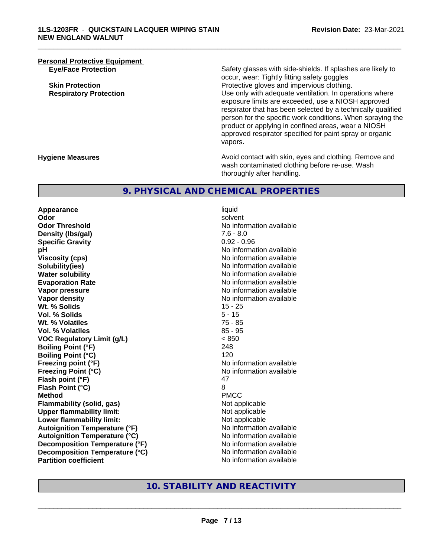## **Personal Protective Equipment**<br> **Eye/Face Protection**

Safety glasses with side-shields. If splashes are likely to occur, wear: Tightly fitting safety goggles **Skin Protection Protection Protective gloves and impervious clothing. Respiratory Protection Number 1** (Use only with adequate ventilation. In operations where exposure limits are exceeded, use a NIOSH approved respirator that has been selected by a technically qualified person for the specific work conditions. When spraying the product or applying in confined areas, wear a NIOSH approved respirator specified for paint spray or organic vapors.

**Hygiene Measures Avoid contact with skin, eyes and clothing. Remove and Avoid contact with skin, eyes and clothing. Remove and Avoid contact with skin, eyes and clothing. Remove and** wash contaminated clothing before re-use. Wash thoroughly after handling.

#### **9. PHYSICAL AND CHEMICAL PROPERTIES**

**Appearance** liquid **Odor** solvent **Odor Threshold** No information available **Density (lbs/gal)** 7.6 - 8.0 **Specific Gravity** 0.92 - 0.96 **pH pH**  $\blacksquare$ **Viscosity (cps)** No information available **Solubility(ies)** No information available in the solution of the solution of the solution available in the solution of the solution of the solution of the solution of the solution of the solution of the solution of the so **Water solubility Water solubility Water solubility Water solubility No information available Evaporation Rate No information available No information available Vapor pressure** No information available **Vapor density Vapor density No information available Wt. % Solids** 15 - 25 **Vol. % Solids** 5 - 15 **Wt. % Volatiles** 75 - 85 **Vol. % Volatiles** 85 - 95 **VOC Regulatory Limit (g/L)** < 850 **Boiling Point (°F)** 248 **Boiling Point (°C)** 120 **Freezing point (°F)** No information available **Freezing Point (°C)** No information available **Flash point (°F)** 47 **Flash Point (°C)** 8 **Method** PMCC **Flammability (solid, gas)** Not applicable Not applicable<br>
Upper flammability limit: Not applicable **Upper flammability limit: Lower flammability limit:** Not applicable **Autoignition Temperature (°F)** No information available **Autoignition Temperature (°C)** No information available **Decomposition Temperature (°F)** No information available<br> **Decomposition Temperature (°C)** No information available **Decomposition Temperature (°C)**<br>Partition coefficient

**No information available** 

\_\_\_\_\_\_\_\_\_\_\_\_\_\_\_\_\_\_\_\_\_\_\_\_\_\_\_\_\_\_\_\_\_\_\_\_\_\_\_\_\_\_\_\_\_\_\_\_\_\_\_\_\_\_\_\_\_\_\_\_\_\_\_\_\_\_\_\_\_\_\_\_\_\_\_\_\_\_\_\_\_\_\_\_\_\_\_\_\_\_\_\_\_

#### **10. STABILITY AND REACTIVITY**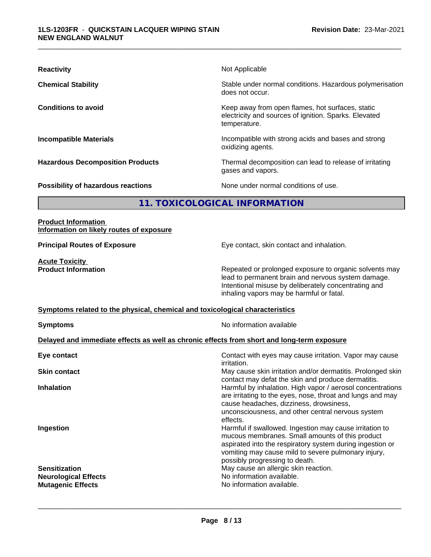| <b>Reactivity</b>                       | Not Applicable                                                                                                            |
|-----------------------------------------|---------------------------------------------------------------------------------------------------------------------------|
| <b>Chemical Stability</b>               | Stable under normal conditions. Hazardous polymerisation<br>does not occur.                                               |
| <b>Conditions to avoid</b>              | Keep away from open flames, hot surfaces, static<br>electricity and sources of ignition. Sparks. Elevated<br>temperature. |
| <b>Incompatible Materials</b>           | Incompatible with strong acids and bases and strong<br>oxidizing agents.                                                  |
| <b>Hazardous Decomposition Products</b> | Thermal decomposition can lead to release of irritating<br>gases and vapors.                                              |
| Possibility of hazardous reactions      | None under normal conditions of use.                                                                                      |

### **11. TOXICOLOGICAL INFORMATION**

#### **Product Information Information on likely routes of exposure**

**Principal Routes of Exposure** Eye contact, skin contact and inhalation.

**Acute Toxicity**<br>**Product Information** 

Repeated or prolonged exposure to organic solvents may lead to permanent brain and nervous system damage. Intentional misuse by deliberately concentrating and inhaling vapors may be harmful or fatal.

#### **Symptoms related to the physical,chemical and toxicological characteristics**

**Symptoms** No information available

 $\overline{\phantom{a}}$  ,  $\overline{\phantom{a}}$  ,  $\overline{\phantom{a}}$  ,  $\overline{\phantom{a}}$  ,  $\overline{\phantom{a}}$  ,  $\overline{\phantom{a}}$  ,  $\overline{\phantom{a}}$  ,  $\overline{\phantom{a}}$  ,  $\overline{\phantom{a}}$  ,  $\overline{\phantom{a}}$  ,  $\overline{\phantom{a}}$  ,  $\overline{\phantom{a}}$  ,  $\overline{\phantom{a}}$  ,  $\overline{\phantom{a}}$  ,  $\overline{\phantom{a}}$  ,  $\overline{\phantom{a}}$ 

#### **Delayed and immediate effects as well as chronic effects from short and long-term exposure**

| Eye contact                                                                     | Contact with eyes may cause irritation. Vapor may cause<br><i>irritation.</i>                                                                                                                                                                                    |
|---------------------------------------------------------------------------------|------------------------------------------------------------------------------------------------------------------------------------------------------------------------------------------------------------------------------------------------------------------|
| <b>Skin contact</b>                                                             | May cause skin irritation and/or dermatitis. Prolonged skin<br>contact may defat the skin and produce dermatitis.                                                                                                                                                |
| <b>Inhalation</b>                                                               | Harmful by inhalation. High vapor / aerosol concentrations<br>are irritating to the eyes, nose, throat and lungs and may<br>cause headaches, dizziness, drowsiness,<br>unconsciousness, and other central nervous system<br>effects.                             |
| Ingestion                                                                       | Harmful if swallowed. Ingestion may cause irritation to<br>mucous membranes. Small amounts of this product<br>aspirated into the respiratory system during ingestion or<br>vomiting may cause mild to severe pulmonary injury,<br>possibly progressing to death. |
| <b>Sensitization</b><br><b>Neurological Effects</b><br><b>Mutagenic Effects</b> | May cause an allergic skin reaction.<br>No information available.<br>No information available.                                                                                                                                                                   |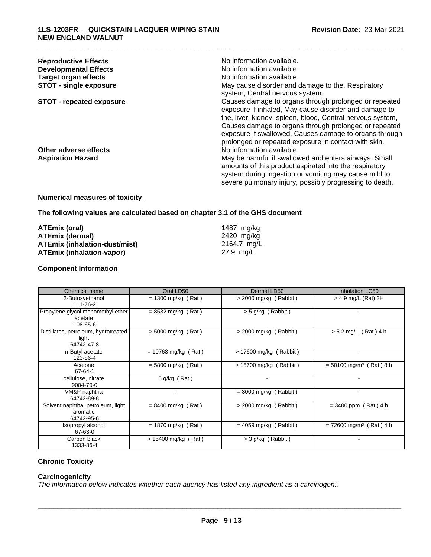| <b>Reproductive Effects</b>     | No information available.                                                                                                                                                                                                           |
|---------------------------------|-------------------------------------------------------------------------------------------------------------------------------------------------------------------------------------------------------------------------------------|
| <b>Developmental Effects</b>    | No information available.                                                                                                                                                                                                           |
| <b>Target organ effects</b>     | No information available.                                                                                                                                                                                                           |
| <b>STOT - single exposure</b>   | May cause disorder and damage to the, Respiratory<br>system, Central nervous system.                                                                                                                                                |
| <b>STOT - repeated exposure</b> | Causes damage to organs through prolonged or repeated<br>exposure if inhaled, May cause disorder and damage to<br>the, liver, kidney, spleen, blood, Central nervous system,                                                        |
|                                 | Causes damage to organs through prolonged or repeated<br>exposure if swallowed, Causes damage to organs through<br>prolonged or repeated exposure in contact with skin.                                                             |
| Other adverse effects           | No information available.                                                                                                                                                                                                           |
| <b>Aspiration Hazard</b>        | May be harmful if swallowed and enters airways. Small<br>amounts of this product aspirated into the respiratory<br>system during ingestion or vomiting may cause mild to<br>severe pulmonary injury, possibly progressing to death. |

#### **Numerical measures of toxicity**

**The following values are calculated based on chapter 3.1 of the GHS document**

| ATEmix (oral)                        | 1487 ma/ka  |
|--------------------------------------|-------------|
| <b>ATEmix (dermal)</b>               | 2420 ma/ka  |
| <b>ATEmix (inhalation-dust/mist)</b> | 2164.7 ma/L |
| ATEmix (inhalation-vapor)            | 27.9 ma/L   |

#### **Component Information**

| Chemical name                                               | Oral LD50                | Dermal LD50              | <b>Inhalation LC50</b>                |
|-------------------------------------------------------------|--------------------------|--------------------------|---------------------------------------|
| 2-Butoxyethanol<br>111-76-2                                 | $= 1300$ mg/kg (Rat)     | $>$ 2000 mg/kg (Rabbit)  | $>$ 4.9 mg/L (Rat) 3H                 |
| Propylene glycol monomethyl ether<br>acetate<br>108-65-6    | $= 8532$ mg/kg (Rat)     | > 5 g/kg (Rabbit)        |                                       |
| Distillates, petroleum, hydrotreated<br>light<br>64742-47-8 | $> 5000$ mg/kg (Rat)     | $>$ 2000 mg/kg (Rabbit)  | $> 5.2$ mg/L (Rat) 4 h                |
| n-Butyl acetate<br>123-86-4                                 | $= 10768$ mg/kg (Rat)    | $> 17600$ mg/kg (Rabbit) |                                       |
| Acetone<br>67-64-1                                          | $= 5800$ mg/kg (Rat)     | $> 15700$ mg/kg (Rabbit) | $= 50100$ mg/m <sup>3</sup> (Rat) 8 h |
| cellulose, nitrate<br>9004-70-0                             | 5 g/kg (Rat)             |                          |                                       |
| VM&P naphtha<br>64742-89-8                                  | $\overline{\phantom{a}}$ | $=$ 3000 mg/kg (Rabbit)  | ۰                                     |
| Solvent naphtha, petroleum, light<br>aromatic<br>64742-95-6 | $= 8400$ mg/kg (Rat)     | $>$ 2000 mg/kg (Rabbit)  | $= 3400$ ppm (Rat) 4 h                |
| Isopropyl alcohol<br>67-63-0                                | $= 1870$ mg/kg (Rat)     | $= 4059$ mg/kg (Rabbit)  | $= 72600$ mg/m <sup>3</sup> (Rat) 4 h |
| Carbon black<br>1333-86-4                                   | $> 15400$ mg/kg (Rat)    | $>$ 3 g/kg (Rabbit)      |                                       |

### **Chronic Toxicity**

#### **Carcinogenicity**

*The information below indicateswhether each agency has listed any ingredient as a carcinogen:.*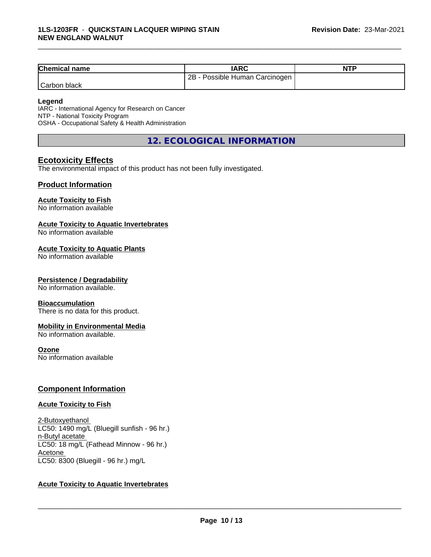| <b>Chemical name</b> | IARC                            | <b>NTP</b> |
|----------------------|---------------------------------|------------|
|                      | 2B<br>Possible Human Carcinogen |            |
| Carbon black         |                                 |            |

#### **Legend**

IARC - International Agency for Research on Cancer NTP - National Toxicity Program OSHA - Occupational Safety & Health Administration

**12. ECOLOGICAL INFORMATION**

#### **Ecotoxicity Effects**

The environmental impact of this product has not been fully investigated.

#### **Product Information**

#### **Acute Toxicity to Fish**

No information available

#### **Acute Toxicity to Aquatic Invertebrates**

No information available

#### **Acute Toxicity to Aquatic Plants**

No information available

#### **Persistence / Degradability**

No information available.

#### **Bioaccumulation**

There is no data for this product.

#### **Mobility in Environmental Media**

No information available.

#### **Ozone**

No information available

#### **Component Information**

#### **Acute Toxicity to Fish**

2-Butoxyethanol LC50: 1490 mg/L (Bluegill sunfish - 96 hr.) n-Butyl acetate LC50: 18 mg/L (Fathead Minnow - 96 hr.) Acetone LC50: 8300 (Bluegill - 96 hr.) mg/L

#### **Acute Toxicity to Aquatic Invertebrates**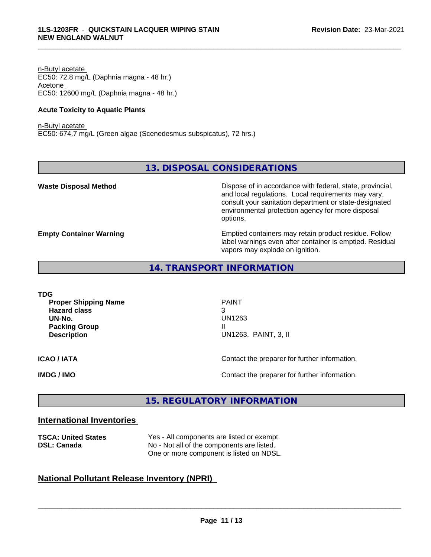n-Butyl acetate EC50: 72.8 mg/L (Daphnia magna - 48 hr.) Acetone EC50: 12600 mg/L (Daphnia magna - 48 hr.)

#### **Acute Toxicity to Aquatic Plants**

n-Butyl acetate EC50: 674.7 mg/L (Green algae (Scenedesmus subspicatus), 72 hrs.)

#### **13. DISPOSAL CONSIDERATIONS**

\_\_\_\_\_\_\_\_\_\_\_\_\_\_\_\_\_\_\_\_\_\_\_\_\_\_\_\_\_\_\_\_\_\_\_\_\_\_\_\_\_\_\_\_\_\_\_\_\_\_\_\_\_\_\_\_\_\_\_\_\_\_\_\_\_\_\_\_\_\_\_\_\_\_\_\_\_\_\_\_\_\_\_\_\_\_\_\_\_\_\_\_\_

**Waste Disposal Method Dispose of in accordance with federal, state, provincial,** and local regulations. Local requirements may vary, consult your sanitation department or state-designated environmental protection agency for more disposal options.

**Empty Container Warning <b>Emptied** Containers may retain product residue. Follow label warnings even after container is emptied. Residual vapors may explode on ignition.

#### **14. TRANSPORT INFORMATION**

**TDG Proper Shipping Name** PAINT **Hazard class** 3 **UN-No.** UN1263 **Packing Group III Description** UN1263, PAINT, 3, II **ICAO / IATA** Contact the preparer for further information.

**IMDG / IMO Contact the preparer for further information.** 

#### **15. REGULATORY INFORMATION**

#### **International Inventories**

**TSCA: United States** Yes - All components are listed or exempt.<br> **DSL: Canada** Wo - Not all of the components are listed. No - Not all of the components are listed. One or more component is listed on NDSL.

### **National Pollutant Release Inventory (NPRI)**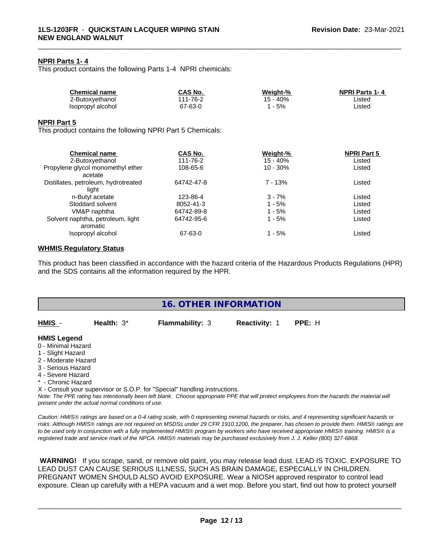#### **NPRI Parts 1- 4**

This product contains the following Parts 1-4 NPRI chemicals:

| <b>Chemical name</b> | CAS No.  | Weight-%    | <b>NPRI Parts 1-4</b> |  |
|----------------------|----------|-------------|-----------------------|--|
| 2-Butoxvethanol      | 111-76-2 | 40%<br>15 - | ∟ıstec                |  |
| Isopropyl alcohol    | 67-63-0  | 5%          | ∟ıstec                |  |

\_\_\_\_\_\_\_\_\_\_\_\_\_\_\_\_\_\_\_\_\_\_\_\_\_\_\_\_\_\_\_\_\_\_\_\_\_\_\_\_\_\_\_\_\_\_\_\_\_\_\_\_\_\_\_\_\_\_\_\_\_\_\_\_\_\_\_\_\_\_\_\_\_\_\_\_\_\_\_\_\_\_\_\_\_\_\_\_\_\_\_\_\_

#### **NPRI Part 5**

This product contains the following NPRI Part 5 Chemicals:

| CAS No.    | Weight-%   | <b>NPRI Part 5</b> |  |
|------------|------------|--------------------|--|
| 111-76-2   | $15 - 40%$ | Listed             |  |
| 108-65-6   | $10 - 30%$ | Listed             |  |
|            |            |                    |  |
| 64742-47-8 | $7 - 13%$  | Listed             |  |
|            |            |                    |  |
| 123-86-4   | $3 - 7%$   | Listed             |  |
| 8052-41-3  | $1 - 5%$   | Listed             |  |
| 64742-89-8 | 1 - 5%     | Listed             |  |
| 64742-95-6 | 1 - 5%     | Listed             |  |
|            |            |                    |  |
| 67-63-0    | 1 - 5%     | Listed             |  |
|            |            |                    |  |

#### **WHMIS Regulatory Status**

This product has been classified in accordance with the hazard criteria of the Hazardous Products Regulations (HPR) and the SDS contains all the information required by the HPR.

|                                                                                                                                                                                                                                                                                                                                                                                                                                            |                        | <b>16. OTHER INFORMATION</b> |        |
|--------------------------------------------------------------------------------------------------------------------------------------------------------------------------------------------------------------------------------------------------------------------------------------------------------------------------------------------------------------------------------------------------------------------------------------------|------------------------|------------------------------|--------|
| HMIS -<br>Health: $3^*$                                                                                                                                                                                                                                                                                                                                                                                                                    | <b>Flammability: 3</b> | Reactivity: 1                | PPE: H |
| <b>HMIS Legend</b><br>0 - Minimal Hazard<br>1 - Slight Hazard<br>2 - Moderate Hazard<br>3 - Serious Hazard<br>4 - Severe Hazard<br>* - Chronic Hazard<br>X - Consult your supervisor or S.O.P. for "Special" handling instructions.<br>Note: The PPE rating has intentionally been left blank. Choose appropriate PPE that will protect employees from the hazards the material will<br>present under the actual normal conditions of use. |                        |                              |        |

*risks. Although HMISÒ ratings are not required on MSDSs under 29 CFR 1910.1200, the preparer, has chosen to provide them. HMISÒ ratings are to be used only in conjunction with a fully implemented HMISÒ program by workers who have received appropriate HMISÒ training. HMISÒ is a registered trade and service mark of the NPCA. HMISÒ materials may be purchased exclusively from J. J. Keller (800) 327-6868.*

 **WARNING!** If you scrape, sand, or remove old paint, you may release lead dust. LEAD IS TOXIC. EXPOSURE TO LEAD DUST CAN CAUSE SERIOUS ILLNESS, SUCH AS BRAIN DAMAGE, ESPECIALLY IN CHILDREN. PREGNANT WOMEN SHOULD ALSO AVOID EXPOSURE.Wear a NIOSH approved respirator to control lead exposure. Clean up carefully with a HEPA vacuum and a wet mop. Before you start, find out how to protect yourself